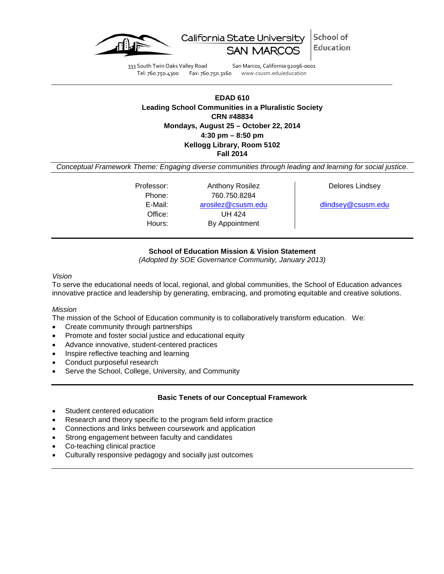



333 South Twin Oaks Valley Road San Marcos, California 92096-0001<br>Tel: 760.750.4300 Fax: 760.750.3160 www.csusm.edu/education Fax: 760.750.3160 www.csusm.edu/education

## **EDAD 610 Leading School Communities in a Pluralistic Society CRN #48834 Mondays, August 25 – October 22, 2014 4:30 pm – 8:50 pm Kellogg Library, Room 5102 Fall 2014**

*Conceptual Framework Theme: Engaging diverse communities through leading and learning for social justice.*

Professor: Anthony Rosilez | Delores Lindsey Phone: 760.750.8284 E-Mail: [arosilez@csusm.edu](mailto:arosilez@csusm.edu) [dlindsey@csusm.edu](mailto:dlindsey@csusm.edu) Office: UH 424 Hours: By Appointment

# **School of Education Mission & Vision Statement**

*(Adopted by SOE Governance Community, January 2013)*

## *Vision*

To serve the educational needs of local, regional, and global communities, the School of Education advances innovative practice and leadership by generating, embracing, and promoting equitable and creative solutions.

## *Mission*

The mission of the School of Education community is to collaboratively transform education. We:

- Create community through partnerships
- Promote and foster social justice and educational equity
- Advance innovative, student-centered practices
- Inspire reflective teaching and learning
- Conduct purposeful research
- Serve the School, College, University, and Community

## **Basic Tenets of our Conceptual Framework**

- Student centered education
- Research and theory specific to the program field inform practice
- Connections and links between coursework and application
- Strong engagement between faculty and candidates
- Co-teaching clinical practice
- Culturally responsive pedagogy and socially just outcomes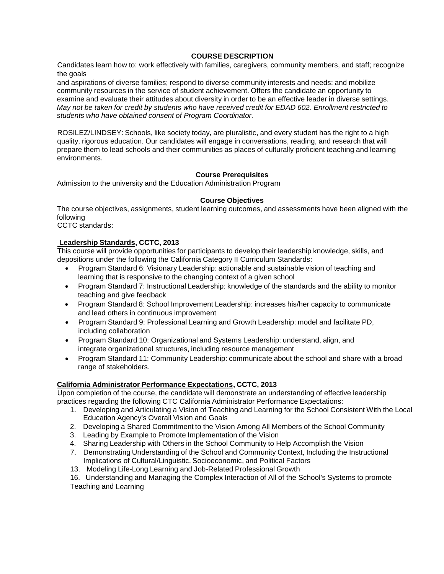### **COURSE DESCRIPTION**

Candidates learn how to: work effectively with families, caregivers, community members, and staff; recognize the goals

and aspirations of diverse families; respond to diverse community interests and needs; and mobilize community resources in the service of student achievement. Offers the candidate an opportunity to examine and evaluate their attitudes about diversity in order to be an effective leader in diverse settings. *May not be taken for credit by students who have received credit for EDAD 602. Enrollment restricted to students who have obtained consent of Program Coordinator.*

ROSILEZ/LINDSEY: Schools, like society today, are pluralistic, and every student has the right to a high quality, rigorous education. Our candidates will engage in conversations, reading, and research that will prepare them to lead schools and their communities as places of culturally proficient teaching and learning environments.

### **Course Prerequisites**

Admission to the university and the Education Administration Program

### **Course Objectives**

The course objectives, assignments, student learning outcomes, and assessments have been aligned with the following

CCTC standards:

### **Leadership Standards, CCTC, 2013**

This course will provide opportunities for participants to develop their leadership knowledge, skills, and depositions under the following the California Category II Curriculum Standards:

- Program Standard 6: Visionary Leadership: actionable and sustainable vision of teaching and learning that is responsive to the changing context of a given school
- Program Standard 7: Instructional Leadership: knowledge of the standards and the ability to monitor teaching and give feedback
- Program Standard 8: School Improvement Leadership: increases his/her capacity to communicate and lead others in continuous improvement
- Program Standard 9: Professional Learning and Growth Leadership: model and facilitate PD, including collaboration
- Program Standard 10: Organizational and Systems Leadership: understand, align, and integrate organizational structures, including resource management
- Program Standard 11: Community Leadership: communicate about the school and share with a broad range of stakeholders.

## **California Administrator Performance Expectations, CCTC, 2013**

Upon completion of the course, the candidate will demonstrate an understanding of effective leadership practices regarding the following CTC California Administrator Performance Expectations:

- 1. Developing and Articulating a Vision of Teaching and Learning for the School Consistent With the Local Education Agency's Overall Vision and Goals
- 2. Developing a Shared Commitment to the Vision Among All Members of the School Community
- 3. Leading by Example to Promote Implementation of the Vision
- 4. Sharing Leadership with Others in the School Community to Help Accomplish the Vision
- 7. Demonstrating Understanding of the School and Community Context, Including the Instructional Implications of Cultural/Linguistic, Socioeconomic, and Political Factors
- 13. Modeling Life-Long Learning and Job-Related Professional Growth

16. Understanding and Managing the Complex Interaction of All of the School's Systems to promote Teaching and Learning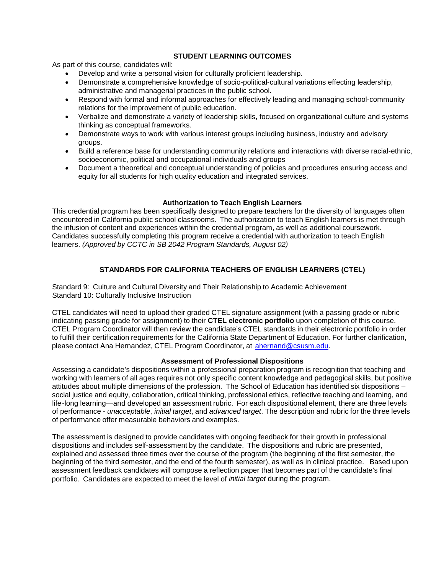## **STUDENT LEARNING OUTCOMES**

As part of this course, candidates will:

- Develop and write a personal vision for culturally proficient leadership.
- Demonstrate a comprehensive knowledge of socio-political-cultural variations effecting leadership, administrative and managerial practices in the public school.
- Respond with formal and informal approaches for effectively leading and managing school-community relations for the improvement of public education.
- Verbalize and demonstrate a variety of leadership skills, focused on organizational culture and systems thinking as conceptual frameworks.
- Demonstrate ways to work with various interest groups including business, industry and advisory groups.
- Build a reference base for understanding community relations and interactions with diverse racial-ethnic, socioeconomic, political and occupational individuals and groups
- Document a theoretical and conceptual understanding of policies and procedures ensuring access and equity for all students for high quality education and integrated services.

### **Authorization to Teach English Learners**

This credential program has been specifically designed to prepare teachers for the diversity of languages often encountered in California public school classrooms. The authorization to teach English learners is met through the infusion of content and experiences within the credential program, as well as additional coursework. Candidates successfully completing this program receive a credential with authorization to teach English learners. *(Approved by CCTC in SB 2042 Program Standards, August 02)*

# **STANDARDS FOR CALIFORNIA TEACHERS OF ENGLISH LEARNERS (CTEL)**

Standard 9: Culture and Cultural Diversity and Their Relationship to Academic Achievement Standard 10: Culturally Inclusive Instruction

CTEL candidates will need to upload their graded CTEL signature assignment (with a passing grade or rubric indicating passing grade for assignment) to their **CTEL electronic portfolio** upon completion of this course. CTEL Program Coordinator will then review the candidate's CTEL standards in their electronic portfolio in order to fulfill their certification requirements for the California State Department of Education. For further clarification, please contact Ana Hernandez, CTEL Program Coordinator, at [ahernand@csusm.edu.](https://bl2prd0511.outlook.com/owa/redir.aspx?C=AW7hZ-DBL0G6FPgB8G8Eri3bAwuccNAIwYI81VgsrzvmHC5AEo6nGJNyvZWC7aqWfxtUgiTx_9k.&URL=mailto%3aahernand%40csusm.edu)

### **Assessment of Professional Dispositions**

Assessing a candidate's dispositions within a professional preparation program is recognition that teaching and working with learners of all ages requires not only specific content knowledge and pedagogical skills, but positive attitudes about multiple dimensions of the profession. The School of Education has identified six dispositions – social justice and equity, collaboration, critical thinking, professional ethics, reflective teaching and learning, and life-long learning—and developed an assessment rubric. For each dispositional element, there are three levels of performance - *unacceptable*, *initial target*, and *advanced target*. The description and rubric for the three levels of performance offer measurable behaviors and examples.

The assessment is designed to provide candidates with ongoing feedback for their growth in professional dispositions and includes self-assessment by the candidate. The dispositions and rubric are presented, explained and assessed three times over the course of the program (the beginning of the first semester, the beginning of the third semester, and the end of the fourth semester), as well as in clinical practice. Based upon assessment feedback candidates will compose a reflection paper that becomes part of the candidate's final portfolio. Candidates are expected to meet the level of *initial target* during the program.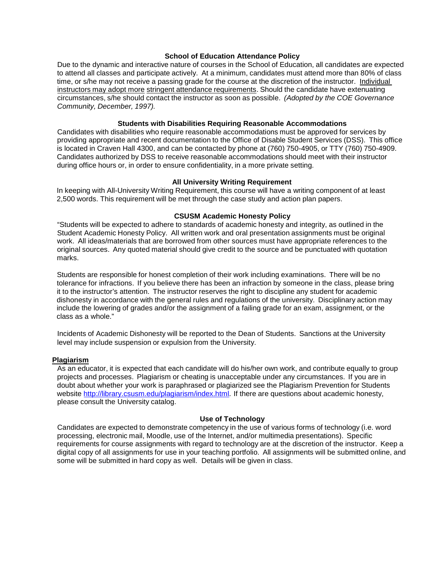### **School of Education Attendance Policy**

Due to the dynamic and interactive nature of courses in the School of Education, all candidates are expected to attend all classes and participate actively. At a minimum, candidates must attend more than 80% of class time, or s/he may not receive a passing grade for the course at the discretion of the instructor. Individual instructors may adopt more stringent attendance requirements. Should the candidate have extenuating circumstances, s/he should contact the instructor as soon as possible. *(Adopted by the COE Governance Community, December, 1997).*

### **Students with Disabilities Requiring Reasonable Accommodations**

Candidates with disabilities who require reasonable accommodations must be approved for services by providing appropriate and recent documentation to the Office of Disable Student Services (DSS). This office is located in Craven Hall 4300, and can be contacted by phone at (760) 750-4905, or TTY (760) 750-4909. Candidates authorized by DSS to receive reasonable accommodations should meet with their instructor during office hours or, in order to ensure confidentiality, in a more private setting.

### **All University Writing Requirement**

In keeping with All-University Writing Requirement, this course will have a writing component of at least 2,500 words. This requirement will be met through the case study and action plan papers.

#### **CSUSM Academic Honesty Policy**

"Students will be expected to adhere to standards of academic honesty and integrity, as outlined in the Student Academic Honesty Policy. All written work and oral presentation assignments must be original work. All ideas/materials that are borrowed from other sources must have appropriate references to the original sources. Any quoted material should give credit to the source and be punctuated with quotation marks.

Students are responsible for honest completion of their work including examinations. There will be no tolerance for infractions. If you believe there has been an infraction by someone in the class, please bring it to the instructor's attention. The instructor reserves the right to discipline any student for academic dishonesty in accordance with the general rules and regulations of the university. Disciplinary action may include the lowering of grades and/or the assignment of a failing grade for an exam, assignment, or the class as a whole."

Incidents of Academic Dishonesty will be reported to the Dean of Students. Sanctions at the University level may include suspension or expulsion from the University.

### **Plagiarism**

As an educator, it is expected that each candidate will do his/her own work, and contribute equally to group projects and processes. Plagiarism or cheating is unacceptable under any circumstances. If you are in doubt about whether your work is paraphrased or plagiarized see the Plagiarism Prevention for Students website [http://library.csusm.edu/plagiarism/index.html.](http://library.csusm.edu/plagiarism/index.html) If there are questions about academic honesty, please consult the University catalog.

### **Use of Technology**

Candidates are expected to demonstrate competency in the use of various forms of technology (i.e. word processing, electronic mail, Moodle, use of the Internet, and/or multimedia presentations). Specific requirements for course assignments with regard to technology are at the discretion of the instructor. Keep a digital copy of all assignments for use in your teaching portfolio. All assignments will be submitted online, and some will be submitted in hard copy as well. Details will be given in class.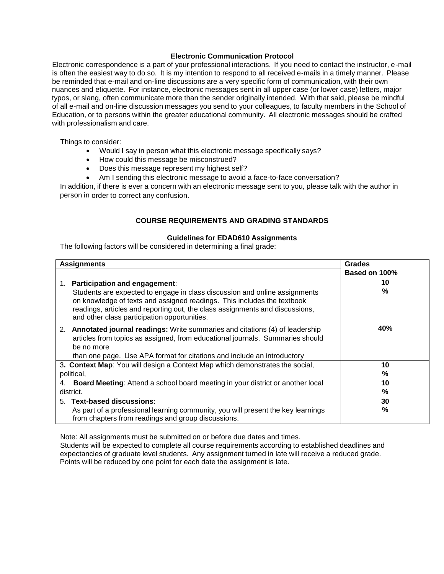### **Electronic Communication Protocol**

Electronic correspondence is a part of your professional interactions. If you need to contact the instructor, e-mail is often the easiest way to do so. It is my intention to respond to all received e-mails in a timely manner. Please be reminded that e-mail and on-line discussions are a very specific form of communication, with their own nuances and etiquette. For instance, electronic messages sent in all upper case (or lower case) letters, major typos, or slang, often communicate more than the sender originally intended. With that said, please be mindful of all e-mail and on-line discussion messages you send to your colleagues, to faculty members in the School of Education, or to persons within the greater educational community. All electronic messages should be crafted with professionalism and care.

Things to consider:

- Would I say in person what this electronic message specifically says?
- How could this message be misconstrued?
- Does this message represent my highest self?
- Am I sending this electronic message to avoid a face-to-face conversation?

In addition, if there is ever a concern with an electronic message sent to you, please talk with the author in person in order to correct any confusion.

## **COURSE REQUIREMENTS AND GRADING STANDARDS**

### **Guidelines for EDAD610 Assignments**

The following factors will be considered in determining a final grade:

|                                                                              | <b>Assignments</b>                                                                                                                                                                                                                                                                                                            | <b>Grades</b> |
|------------------------------------------------------------------------------|-------------------------------------------------------------------------------------------------------------------------------------------------------------------------------------------------------------------------------------------------------------------------------------------------------------------------------|---------------|
|                                                                              |                                                                                                                                                                                                                                                                                                                               | Based on 100% |
| 1.                                                                           | <b>Participation and engagement:</b><br>Students are expected to engage in class discussion and online assignments<br>on knowledge of texts and assigned readings. This includes the textbook<br>readings, articles and reporting out, the class assignments and discussions,<br>and other class participation opportunities. | 10<br>$\%$    |
|                                                                              | 2. Annotated journal readings: Write summaries and citations (4) of leadership<br>articles from topics as assigned, from educational journals. Summaries should<br>be no more<br>than one page. Use APA format for citations and include an introductory                                                                      | 40%           |
| 3. Context Map: You will design a Context Map which demonstrates the social, |                                                                                                                                                                                                                                                                                                                               | 10            |
| political,                                                                   |                                                                                                                                                                                                                                                                                                                               | %             |
|                                                                              | 4. Board Meeting: Attend a school board meeting in your district or another local<br>district.                                                                                                                                                                                                                                | 10<br>%       |
|                                                                              | 5. Text-based discussions:                                                                                                                                                                                                                                                                                                    | 30            |
|                                                                              | As part of a professional learning community, you will present the key learnings<br>from chapters from readings and group discussions.                                                                                                                                                                                        | $\%$          |

Note: All assignments must be submitted on or before due dates and times.

Students will be expected to complete all course requirements according to established deadlines and expectancies of graduate level students. Any assignment turned in late will receive a reduced grade. Points will be reduced by one point for each date the assignment is late.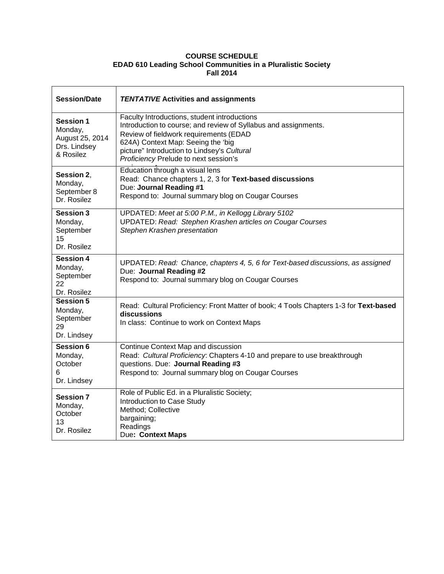## **COURSE SCHEDULE EDAD 610 Leading School Communities in a Pluralistic Society Fall 2014**

| <b>Session/Date</b>                                                         | <b>TENTATIVE Activities and assignments</b>                                                                                                                                                                                                                                             |
|-----------------------------------------------------------------------------|-----------------------------------------------------------------------------------------------------------------------------------------------------------------------------------------------------------------------------------------------------------------------------------------|
| <b>Session 1</b><br>Monday,<br>August 25, 2014<br>Drs. Lindsey<br>& Rosilez | Faculty Introductions, student introductions<br>Introduction to course; and review of Syllabus and assignments.<br>Review of fieldwork requirements (EDAD<br>624A) Context Map: Seeing the 'big<br>picture" Introduction to Lindsey's Cultural<br>Proficiency Prelude to next session's |
| Session 2,<br>Monday,<br>September 8<br>Dr. Rosilez                         | Education through a visual lens<br>Read: Chance chapters 1, 2, 3 for Text-based discussions<br>Due: Journal Reading #1<br>Respond to: Journal summary blog on Cougar Courses                                                                                                            |
| <b>Session 3</b><br>Monday,<br>September<br>15<br>Dr. Rosilez               | UPDATED: Meet at 5:00 P.M., in Kellogg Library 5102<br><b>UPDATED: Read: Stephen Krashen articles on Cougar Courses</b><br>Stephen Krashen presentation                                                                                                                                 |
| <b>Session 4</b><br>Monday,<br>September<br>22<br>Dr. Rosilez               | UPDATED: Read: Chance, chapters 4, 5, 6 for Text-based discussions, as assigned<br>Due: Journal Reading #2<br>Respond to: Journal summary blog on Cougar Courses                                                                                                                        |
| <b>Session 5</b><br>Monday,<br>September<br>29<br>Dr. Lindsey               | Read: Cultural Proficiency: Front Matter of book; 4 Tools Chapters 1-3 for Text-based<br>discussions<br>In class: Continue to work on Context Maps                                                                                                                                      |
| <b>Session 6</b><br>Monday,<br>October<br>6<br>Dr. Lindsey                  | Continue Context Map and discussion<br>Read: Cultural Proficiency: Chapters 4-10 and prepare to use breakthrough<br>questions. Due: Journal Reading #3<br>Respond to: Journal summary blog on Cougar Courses                                                                            |
| <b>Session 7</b><br>Monday,<br>October<br>13<br>Dr. Rosilez                 | Role of Public Ed. in a Pluralistic Society;<br>Introduction to Case Study<br>Method; Collective<br>bargaining;<br>Readings<br>Due: Context Maps                                                                                                                                        |